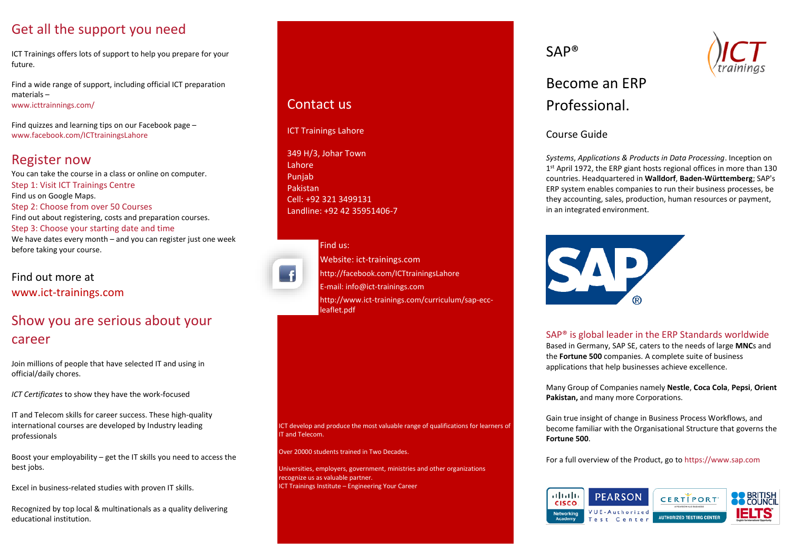## Get all the support you need

ICT Trainings offers lots of support to help you prepare for your future.

Find a wide range of support, including official ICT preparation materials – www.icttrainnings.com/

Find quizzes and learning tips on our Facebook page – www.facebook.com/ICTtrainingsLahore

# Register now

You can take the course in a class or online on computer. Step 1: Visit ICT Trainings Centre Find us on Google Maps. Step 2: Choose from over 50 Courses Find out about registering, costs and preparation courses. Step 3: Choose your starting date and time We have dates every month – and you can register just one week before taking your course.

Find out more at [www.ict-trainings.com](http://www.ict-trainings.com/)

# Show you are serious about your career

Join millions of people that have selected IT and using in official/daily chores.

*ICT Certificates* to show they have the work-focused

IT and Telecom skills for career success. These high-quality international courses are developed by Industry leading professionals

Boost your employability – get the IT skills you need to access the best jobs.

Excel in business-related studies with proven IT skills.

Recognized by top local & multinationals as a quality delivering educational institution.

## Contact us

ICT Trainings Lahore

349 H/3, Johar Town **Lahore** Punjab Pakistan Cell: +92 321 3499131 Landline: +92 42 35951406-7



### Find us: Website: ict-trainings.com <http://facebook.com/ICTtrainingsLahore> E-mail: info@ict-trainings.com http:/[/www.ict-trainings.com/curriculum/sap-ecc](http://www.ict-trainings.com/curriculum/sap-ecc-leaflet.pdf)[leaflet.pdf](http://www.ict-trainings.com/curriculum/sap-ecc-leaflet.pdf)

ICT develop and produce the most valuable range of qualifications for learners of IT and Telecom.

Over 20000 students trained in Two Decades.

Universities, employers, government, ministries and other organizations recognize us as valuable partner. ICT Trainings Institute – Engineering Your Career

SAP®



# Become an ERP Professional.

Course Guide

*Systems*, *Applications & Products in Data Processing*. Inception on 1 st April 1972, the ERP giant hosts regional offices in more than 130 countries. Headquartered in **Walldorf**, **Baden-Württemberg**; SAP's ERP system enables companies to run their business processes, be they accounting, sales, production, human resources or payment, in an integrated environment.



### SAP® is global leader in the ERP Standards worldwide

Based in Germany, SAP SE, caters to the needs of large **MNC**s and the **Fortune 500** companies. A complete suite of business applications that help businesses achieve excellence.

Many Group of Companies namely **Nestle**, **Coca Cola**, **Pepsi**, **Orient Pakistan,** and many more Corporations.

Gain true insight of change in Business Process Workflows, and become familiar with the Organisational Structure that governs the **Fortune 500**.

For a full overview of the Product, go to https://www.sap.com